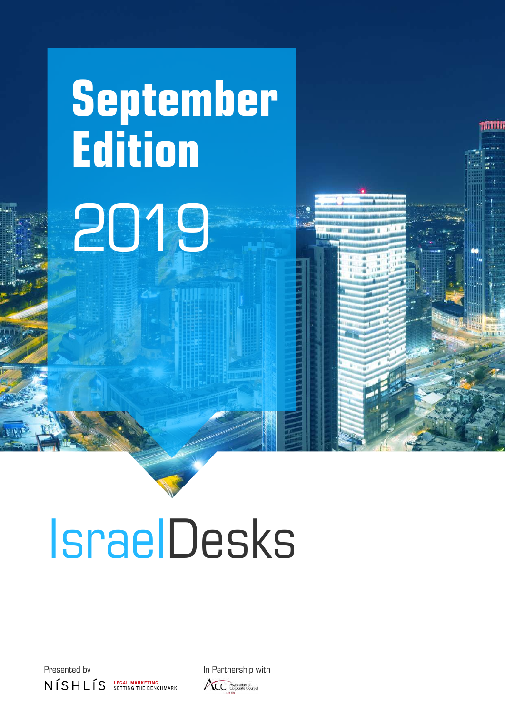# **September Edition** 2019



Presented by **In Partnership with**  $N$  $\overline{S}$  H L  $\overline{S}$  | LEGAL MARKETING

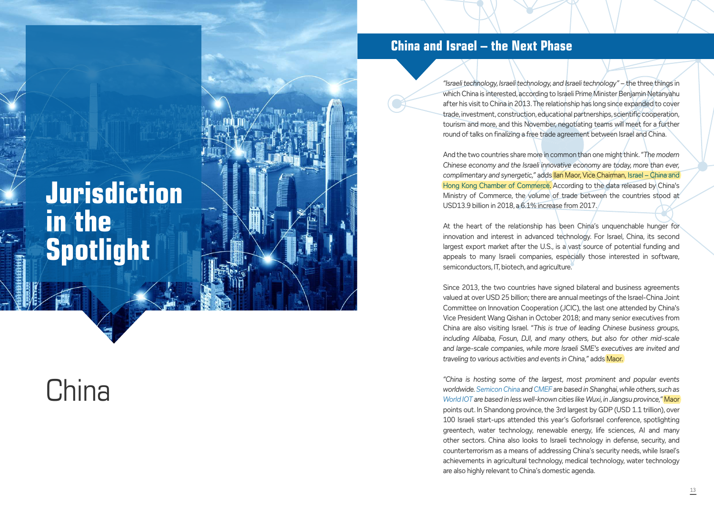## **Jurisdiction in the Spotlight**

## **China**

"Israeli technology, Israeli technology, and Israeli technology" – the three things in which China is interested, according to Israeli Prime Minister Benjamin Netanyahu after his visit to China in 2013. The relationship has long since expanded to cover trade, investment, construction, educational partnerships, scientific cooperation, tourism and more, and this November, negotiating teams will meet for a further round of talks on finalizing a free trade agreement between Israel and China.

And the two countries share more in common than one might think. *"The modern Chinese economy and the Israeli innovative economy are today, more than ever, complimentary and synergetic,"* adds Ilan Maor, Vice Chairman, Israel – China and Hong Kong Chamber of Commerce. According to the data released by China's Ministry of Commerce, the volume of trade between the countries stood at USD13.9 billion in 2018, a 6.1% increase from 2017.

At the heart of the relationship has been China's unquenchable hunger for innovation and interest in advanced technology. For Israel, China, its second largest export market after the U.S., is a vast source of potential funding and appeals to many Israeli companies, especially those interested in software, semiconductors, IT, biotech, and agriculture.

Since 2013, the two countries have signed bilateral and business agreements valued at over USD 25 billion; there are annual meetings of the Israel-China Joint Committee on Innovation Cooperation (JCIC), the last one attended by China's Vice President Wang Qishan in October 2018; and many senior executives from China are also visiting Israel. *"This is true of leading Chinese business groups, including Alibaba, Fosun, DJI, and many others, but also for other mid-scale and large-scale companies, while more Israeli SME's executives are invited and traveling to various activities and events in China,"* adds Maor.

*"China is hosting some of the largest, most prominent and popular events worldwide. Semicon China and CMEF are based in Shanghai, while others, such as World IOT are based in less well-known cities like Wuxi, in Jiangsu province,"* Maor points out. In Shandong province, the 3rd largest by GDP (USD 1.1 trillion), over 100 Israeli start-ups attended this year's GoforIsrael conference, spotlighting greentech, water technology, renewable energy, life sciences, AI and many other sectors. China also looks to Israeli technology in defense, security, and counterterrorism as a means of addressing China's security needs, while Israel's achievements in agricultural technology, medical technology, water technology are also highly relevant to China's domestic agenda.

### **China and Israel – the Next Phase**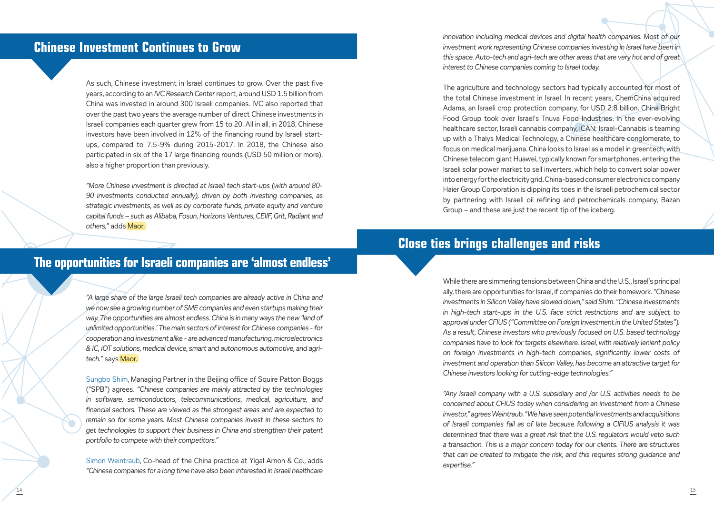### **Chinese Investment Continues to Grow**

### **The opportunities for Israeli companies are 'almost endless'**

### **Close ties brings challenges and risks**

As such, Chinese investment in Israel continues to grow. Over the past five years, according to an *IVC Research Center* report, around USD 1.5 billion from China was invested in around 300 Israeli companies. IVC also reported that over the past two years the average number of direct Chinese investments in Israeli companies each quarter grew from 15 to 20. All in all, in 2018, Chinese investors have been involved in 12% of the financing round by Israeli startups, compared to 7.5-9% during 2015-2017. In 2018, the Chinese also participated in six of the 17 large financing rounds (USD 50 million or more), also a higher proportion than previously.

*"More Chinese investment is directed at Israeli tech start-ups (with around 80- 90 investments conducted annually), driven by both investing companies, as strategic investments, as well as by corporate funds, private equity and venture capital funds – such as Alibaba, Fosun, Horizons Ventures, CEIIF, Grit, Radiant and others,"* adds Maor.

innovation including medical devices and digital health companies. Most of our *investment work representing Chinese companies investing in Israel have been in this space. Auto-tech and agri-tech are other areas that are very hot and of great interest to Chinese companies coming to Israel today.* 

*"A large share of the large Israeli tech companies are already active in China and we now see a growing number of SME companies and even startups making their way. The opportunities are almost endless. China is in many ways the new 'land of unlimited opportunities.' The main sectors of interest for Chinese companies - for cooperation and investment alike - are advanced manufacturing, microelectronics & IC, IOT solutions, medical device, smart and autonomous automotive, and agritech."* says Maor.

Sungbo Shim, Managing Partner in the Beijing office of Squire Patton Boggs ("SPB") agrees. *"Chinese companies are mainly attracted by the technologies in software, semiconductors, telecommunications, medical, agriculture, and financial sectors. These are viewed as the strongest areas and are expected to remain so for some years. Most Chinese companies invest in these sectors to get technologies to support their business in China and strengthen their patent portfolio to compete with their competitors."* 

Simon Weintraub, Co-head of the China practice at Yigal Arnon & Co., adds *"Chinese companies for a long time have also been interested in Israeli healthcare*  The agriculture and technology sectors had typically accounted for most of the total Chinese investment in Israel. In recent years, ChemChina acquired Adama, an Israeli crop protection company, for USD 2.8 billion. China Bright Food Group took over Israel's Tnuva Food Industries. In the ever-evolving healthcare sector, Israeli cannabis company, iCAN: Israel-Cannabis is teaming up with a Thalys Medical Technology, a Chinese healthcare conglomerate, to focus on medical marijuana. China looks to Israel as a model in greentech, with Chinese telecom giant Huawei, typically known for smartphones, entering the Israeli solar power market to sell inverters, which help to convert solar power into energy for the electricity grid. China-based consumer electronics company Haier Group Corporation is dipping its toes in the Israeli petrochemical sector by partnering with Israeli oil refining and petrochemicals company, Bazan Group – and these are just the recent tip of the iceberg.

While there are simmering tensions between China and the U.S., Israel's principal ally, there are opportunities for Israel, if companies do their homework. *"Chinese investments in Silicon Valley have slowed down," said Shim. "Chinese investments in high-tech start-ups in the U.S. face strict restrictions and are subject to approval under CFIUS ("Committee on Foreign Investment in the United States"). As a result, Chinese investors who previously focused on U.S. based technology companies have to look for targets elsewhere. Israel, with relatively lenient policy on foreign investments in high-tech companies, significantly lower costs of investment and operation than Silicon Valley, has become an attractive target for Chinese investors looking for cutting-edge technologies."*

*"Any Israeli company with a U.S. subsidiary and /or U.S. activities needs to be concerned about CFIUS today when considering an investment from a Chinese investor," agrees Weintraub. "We have seen potential investments and acquisitions of Israeli companies fail as of late because following a CIFIUS analysis it was determined that there was a great risk that the U.S. regulators would veto such a transaction. This is a major concern today for our clients. There are structures that can be created to mitigate the risk, and this requires strong guidance and expertise."*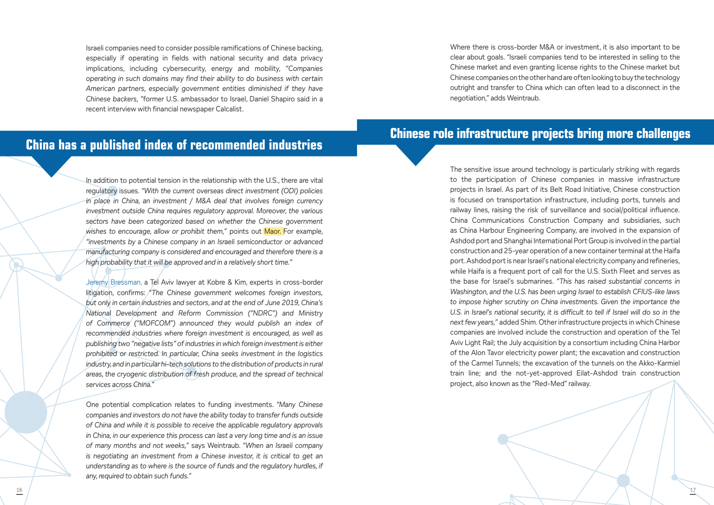

Israeli companies need to consider possible ramifications of Chinese backing, especially if operating in fields with national security and data privacy implications, including cybersecurity, energy and mobility, *"Companies operating in such domains may find their ability to do business with certain American partners, especially government entities diminished if they have Chinese backers, "*former U.S. ambassador to Israel, Daniel Shapiro said in a recent interview with financial newspaper Calcalist.

In addition to potential tension in the relationship with the U.S., there are vital regulatory issues. *"With the current overseas direct investment (ODI) policies in place in China, an investment / M&A deal that involves foreign currency investment outside China requires regulatory approval. Moreover, the various sectors have been categorized based on whether the Chinese government wishes to encourage, allow or prohibit them,"* points out Maor. For example, *"investments by a Chinese company in an Israeli semiconductor or advanced manufacturing company is considered and encouraged and therefore there is a high probability that it will be approved and in a relatively short time."*

Jeremy Bressman, a Tel Aviv lawyer at Kobre & Kim, experts in cross-border litigation, confirms: *"The Chinese government welcomes foreign investors, but only in certain industries and sectors, and at the end of June 2019, China's National Development and Reform Commission ("NDRC") and Ministry of Commerce ("MOFCOM") announced they would publish an index of recommended industries where foreign investment is encouraged, as well as publishing two "negative lists" of industries in which foreign investment is either prohibited or restricted. In particular, China seeks investment in the logistics industry, and in particular hi-tech solutions to the distribution of products in rural*  areas, the cryogenic distribution of fresh produce, and the spread of technical *services across China."*

One potential complication relates to funding investments. *"Many Chinese companies and investors do not have the ability today to transfer funds outside of China and while it is possible to receive the applicable regulatory approvals in China, in our experience this process can last a very long time and is an issue of many months and not weeks,"* says Weintraub. *"When an Israeli company is negotiating an investment from a Chinese investor, it is critical to get an understanding as to where is the source of funds and the regulatory hurdles, if any, required to obtain such funds."*

## **China has a published index of recommended industries Chinese role infrastructure projects bring more challenges**

Where there is cross-border M&A or investment, it is also important to be clear about goals. "Israeli companies tend to be interested in selling to the Chinese market and even granting license rights to the Chinese market but Chinese companies on the other hand are often looking to buy the technology outright and transfer to China which can often lead to a disconnect in the negotiation," adds Weintraub.

The sensitive issue around technology is particularly striking with regards to the participation of Chinese companies in massive infrastructure projects in Israel. As part of its Belt Road Initiative, Chinese construction is focused on transportation infrastructure, including ports, tunnels and railway lines, raising the risk of surveillance and social/political influence. China Communications Construction Company and subsidiaries, such as China Harbour Engineering Company, are involved in the expansion of Ashdod port and Shanghai International Port Group is involved in the partial construction and 25-year operation of a new container terminal at the Haifa port. Ashdod port is near Israel's national electricity company and refineries, while Haifa is a frequent port of call for the U.S. Sixth Fleet and serves as the base for Israel's submarines. *"This has raised substantial concerns in Washington, and the U.S. has been urging Israel to establish CFIUS-like laws to impose higher scrutiny on China investments. Given the importance the*  U.S. in Israel's national security, it is difficult to tell if Israel will do so in the *next few years,"* added Shim. Other infrastructure projects in which Chinese companies are involved include the construction and operation of the Tel Aviv Light Rail; the July acquisition by a consortium including China Harbor of the Alon Tavor electricity power plant; the excavation and construction of the Carmel Tunnels; the excavation of the tunnels on the Akko-Karmiel train line; and the not-yet-approved Eilat-Ashdod train construction project, also known as the "Red-Med" railway.